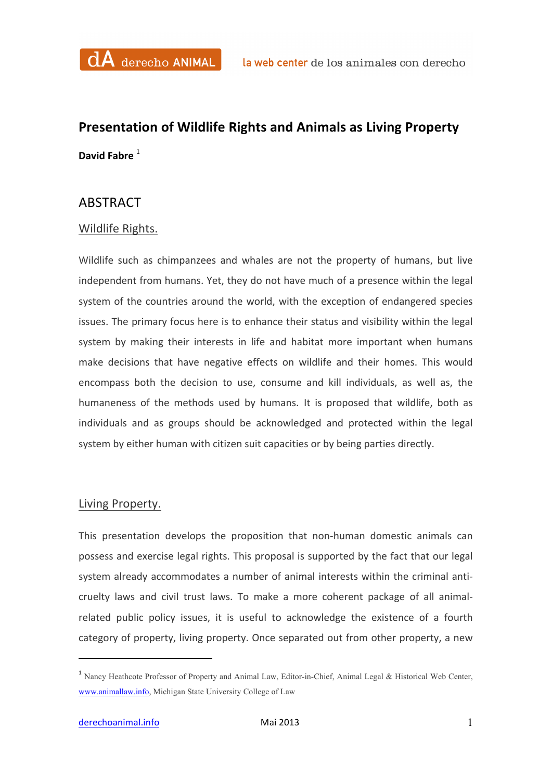## **Presentation of Wildlife Rights and Animals as Living Property David Fabre**  $1$

## ABSTRACT

## Wildlife Rights.

Wildlife such as chimpanzees and whales are not the property of humans, but live independent from humans. Yet, they do not have much of a presence within the legal system of the countries around the world, with the exception of endangered species issues. The primary focus here is to enhance their status and visibility within the legal system by making their interests in life and habitat more important when humans make decisions that have negative effects on wildlife and their homes. This would encompass both the decision to use, consume and kill individuals, as well as, the humaneness of the methods used by humans. It is proposed that wildlife, both as individuals and as groups should be acknowledged and protected within the legal system by either human with citizen suit capacities or by being parties directly.

## Living Property.

This presentation develops the proposition that non-human domestic animals can possess and exercise legal rights. This proposal is supported by the fact that our legal system already accommodates a number of animal interests within the criminal anticruelty laws and civil trust laws. To make a more coherent package of all animalrelated public policy issues, it is useful to acknowledge the existence of a fourth category of property, living property. Once separated out from other property, a new

 

<sup>1</sup> Nancy Heathcote Professor of Property and Animal Law, Editor-in-Chief, Animal Legal & Historical Web Center, www.animallaw.info, Michigan State University College of Law